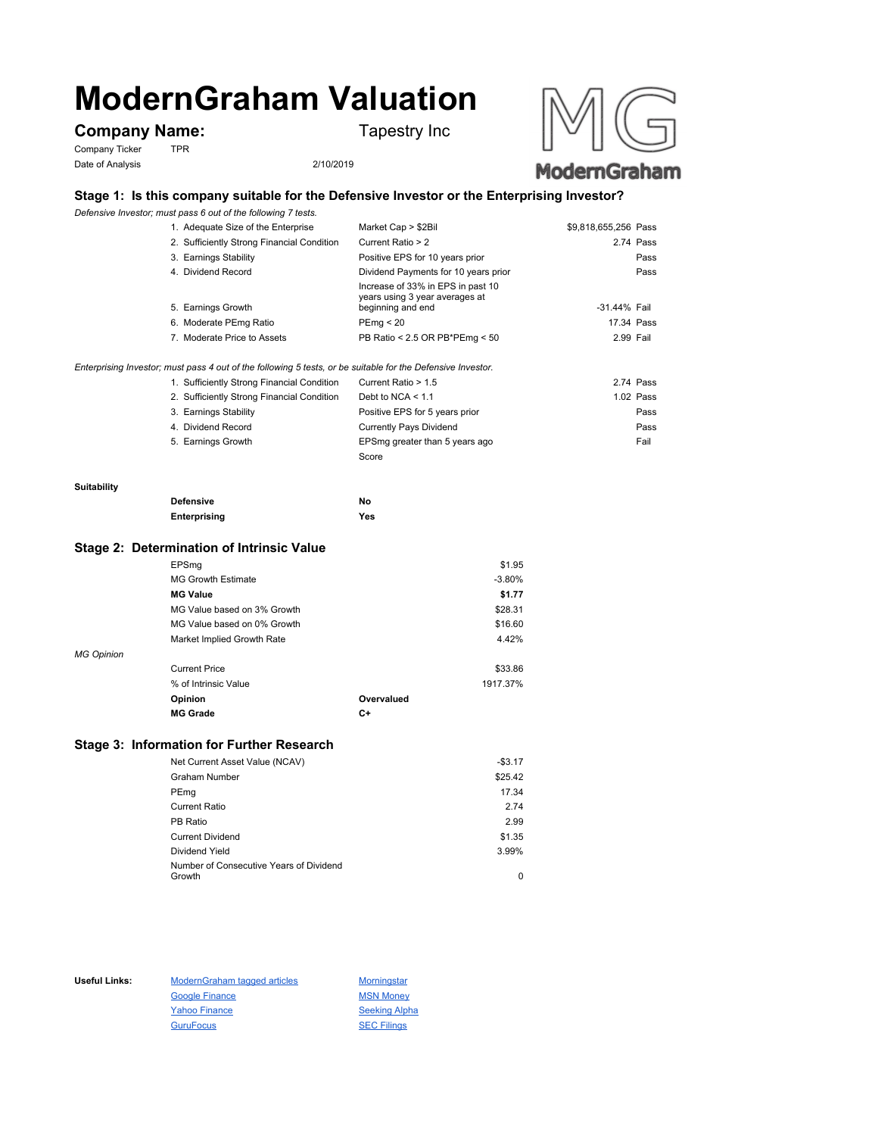# **ModernGraham Valuation**

# **Company Name:** Tapestry Inc

Company Ticker TPR Date of Analysis 2/10/2019



# **Stage 1: Is this company suitable for the Defensive Investor or the Enterprising Investor?**

*Defensive Investor; must pass 6 out of the following 7 tests.*

| 1. Adequate Size of the Enterprise         | Market Cap > \$2Bil                                                                      | \$9,818,655,256 Pass |           |
|--------------------------------------------|------------------------------------------------------------------------------------------|----------------------|-----------|
| 2. Sufficiently Strong Financial Condition | Current Ratio > 2                                                                        |                      | 2.74 Pass |
| 3. Earnings Stability                      | Positive EPS for 10 years prior                                                          |                      | Pass      |
| 4. Dividend Record                         | Dividend Payments for 10 years prior                                                     |                      | Pass      |
| 5. Earnings Growth                         | Increase of 33% in EPS in past 10<br>years using 3 year averages at<br>beginning and end | -31.44% Fail         |           |
| 6. Moderate PEmg Ratio                     | PEmq < 20                                                                                | 17.34 Pass           |           |
| 7. Moderate Price to Assets                | PB Ratio < 2.5 OR PB*PEmg < 50                                                           | 2.99 Fail            |           |
|                                            |                                                                                          |                      |           |

*Enterprising Investor; must pass 4 out of the following 5 tests, or be suitable for the Defensive Investor.*

| 1. Sufficiently Strong Financial Condition | Current Ratio > 1.5            | 2.74 Pass |
|--------------------------------------------|--------------------------------|-----------|
| 2. Sufficiently Strong Financial Condition | Debt to NCA $<$ 1.1            | 1.02 Pass |
| 3. Earnings Stability                      | Positive EPS for 5 years prior | Pass      |
| 4. Dividend Record                         | <b>Currently Pays Dividend</b> | Pass      |
| 5. Earnings Growth                         | EPSmg greater than 5 years ago | Fail      |
|                                            | Score                          |           |

#### **Suitability**

| <b>Defensive</b> | No  |
|------------------|-----|
| Enterprising     | Yes |

### **Stage 2: Determination of Intrinsic Value**

|                   | EPSmg                       |            | \$1.95   |
|-------------------|-----------------------------|------------|----------|
|                   | <b>MG Growth Estimate</b>   |            | $-3.80%$ |
|                   | <b>MG Value</b>             |            | \$1.77   |
|                   | MG Value based on 3% Growth |            | \$28.31  |
|                   | MG Value based on 0% Growth |            | \$16.60  |
|                   | Market Implied Growth Rate  |            | 4.42%    |
| <b>MG Opinion</b> |                             |            |          |
|                   | <b>Current Price</b>        |            | \$33.86  |
|                   | % of Intrinsic Value        |            | 1917.37% |
|                   | Opinion                     | Overvalued |          |
|                   | <b>MG Grade</b>             | C+         |          |
|                   |                             |            |          |

## **Stage 3: Information for Further Research**

| Net Current Asset Value (NCAV)          | $-$3.17$ |
|-----------------------------------------|----------|
| Graham Number                           | \$25.42  |
| PEmg                                    | 17.34    |
| Current Ratio                           | 2.74     |
| PB Ratio                                | 2.99     |
| <b>Current Dividend</b>                 | \$1.35   |
| Dividend Yield                          | 3.99%    |
| Number of Consecutive Years of Dividend |          |
| Growth                                  | 0        |

Useful Links: ModernGraham tagged articles Morningstar Google Finance MSN Money Yahoo Finance Seeking Alpha GuruFocus SEC Filings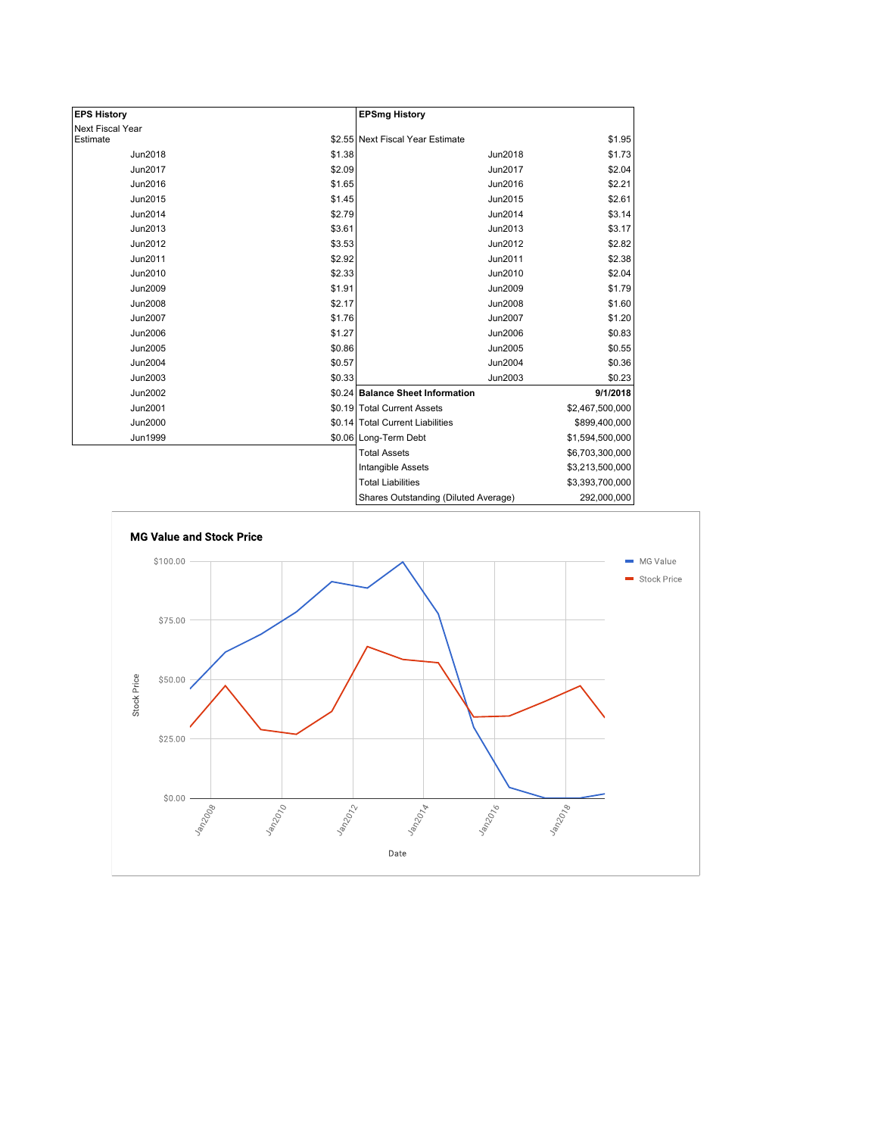| <b>EPS History</b> |        | <b>EPSmg History</b>                 |                 |
|--------------------|--------|--------------------------------------|-----------------|
| Next Fiscal Year   |        |                                      |                 |
| Estimate           |        | \$2.55 Next Fiscal Year Estimate     | \$1.95          |
| Jun2018            | \$1.38 | Jun2018                              | \$1.73          |
| Jun2017            | \$2.09 | Jun2017                              | \$2.04          |
| Jun2016            | \$1.65 | Jun2016                              | \$2.21          |
| Jun2015            | \$1.45 | Jun2015                              | \$2.61          |
| Jun2014            | \$2.79 | Jun2014                              | \$3.14          |
| Jun2013            | \$3.61 | Jun2013                              | \$3.17          |
| Jun2012            | \$3.53 | Jun2012                              | \$2.82          |
| Jun2011            | \$2.92 | Jun2011                              | \$2.38          |
| Jun2010            | \$2.33 | Jun2010                              | \$2.04          |
| Jun2009            | \$1.91 | Jun2009                              | \$1.79          |
| <b>Jun2008</b>     | \$2.17 | <b>Jun2008</b>                       | \$1.60          |
| Jun2007            | \$1.76 | Jun2007                              | \$1.20          |
| <b>Jun2006</b>     | \$1.27 | Jun2006                              | \$0.83          |
| Jun2005            | \$0.86 | Jun2005                              | \$0.55          |
| Jun2004            | \$0.57 | Jun2004                              | \$0.36          |
| Jun2003            | \$0.33 | Jun2003                              | \$0.23          |
| Jun2002            |        | \$0.24 Balance Sheet Information     | 9/1/2018        |
| Jun2001            |        | \$0.19 Total Current Assets          | \$2,467,500,000 |
| <b>Jun2000</b>     |        | \$0.14 Total Current Liabilities     | \$899,400,000   |
| Jun1999            |        | \$0.06 Long-Term Debt                | \$1,594,500,000 |
|                    |        | <b>Total Assets</b>                  | \$6,703,300,000 |
|                    |        | Intangible Assets                    | \$3,213,500,000 |
|                    |        | <b>Total Liabilities</b>             | \$3,393,700,000 |
|                    |        | Shares Outstanding (Diluted Average) | 292,000,000     |